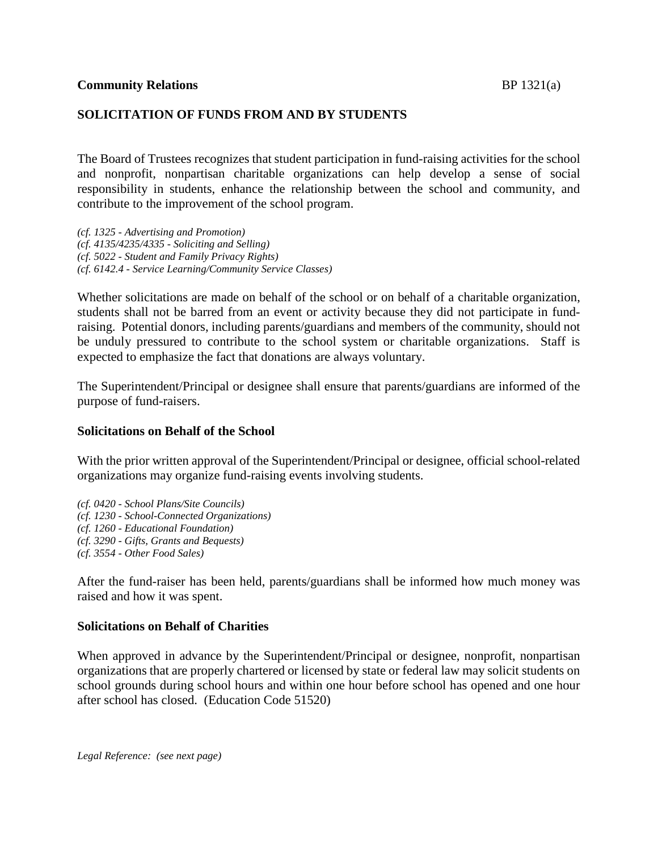# **SOLICITATION OF FUNDS FROM AND BY STUDENTS**

The Board of Trustees recognizes that student participation in fund-raising activities for the school and nonprofit, nonpartisan charitable organizations can help develop a sense of social responsibility in students, enhance the relationship between the school and community, and contribute to the improvement of the school program.

*(cf. 1325 - Advertising and Promotion) (cf. 4135/4235/4335 - Soliciting and Selling) (cf. 5022 - Student and Family Privacy Rights) (cf. 6142.4 - Service Learning/Community Service Classes)*

Whether solicitations are made on behalf of the school or on behalf of a charitable organization, students shall not be barred from an event or activity because they did not participate in fundraising. Potential donors, including parents/guardians and members of the community, should not be unduly pressured to contribute to the school system or charitable organizations. Staff is expected to emphasize the fact that donations are always voluntary.

The Superintendent/Principal or designee shall ensure that parents/guardians are informed of the purpose of fund-raisers.

#### **Solicitations on Behalf of the School**

With the prior written approval of the Superintendent/Principal or designee, official school-related organizations may organize fund-raising events involving students.

*(cf. 0420 - School Plans/Site Councils) (cf. 1230 - School-Connected Organizations) (cf. 1260 - Educational Foundation) (cf. 3290 - Gifts, Grants and Bequests) (cf. 3554 - Other Food Sales)*

After the fund-raiser has been held, parents/guardians shall be informed how much money was raised and how it was spent.

# **Solicitations on Behalf of Charities**

When approved in advance by the Superintendent/Principal or designee, nonprofit, nonpartisan organizations that are properly chartered or licensed by state or federal law may solicit students on school grounds during school hours and within one hour before school has opened and one hour after school has closed. (Education Code 51520)

*Legal Reference: (see next page)*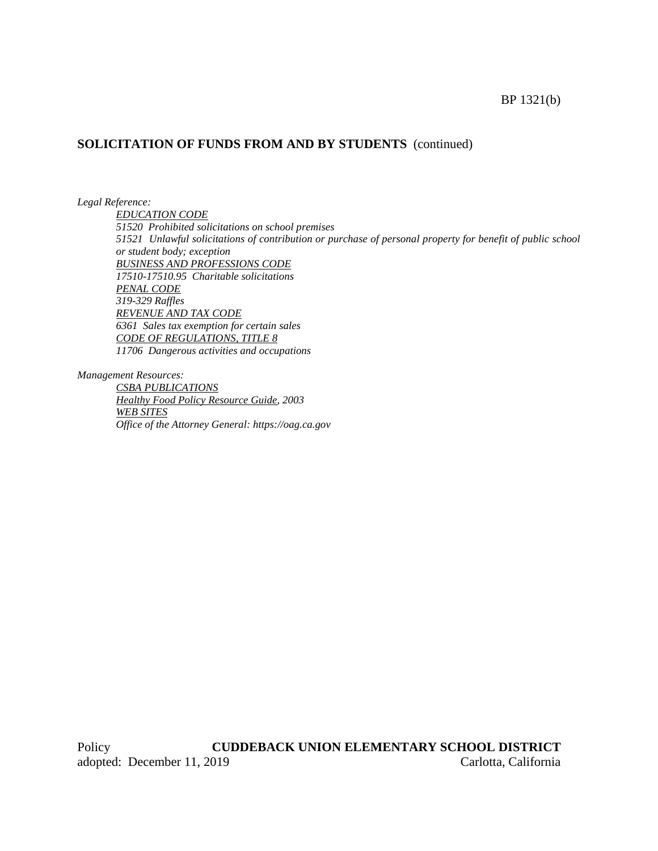#### BP 1321(b)

# **SOLICITATION OF FUNDS FROM AND BY STUDENTS** (continued)

*Legal Reference:*

*EDUCATION CODE 51520 Prohibited solicitations on school premises 51521 Unlawful solicitations of contribution or purchase of personal property for benefit of public school or student body; exception BUSINESS AND PROFESSIONS CODE 17510-17510.95 Charitable solicitations PENAL CODE 319-329 Raffles REVENUE AND TAX CODE 6361 Sales tax exemption for certain sales CODE OF REGULATIONS, TITLE 8 11706 Dangerous activities and occupations*

*Management Resources:*

*CSBA PUBLICATIONS Healthy Food Policy Resource Guide, 2003 WEB SITES Office of the Attorney General: https://oag.ca.gov*

Policy **CUDDEBACK UNION ELEMENTARY SCHOOL DISTRICT** adopted: December 11, 2019 Carlotta, California